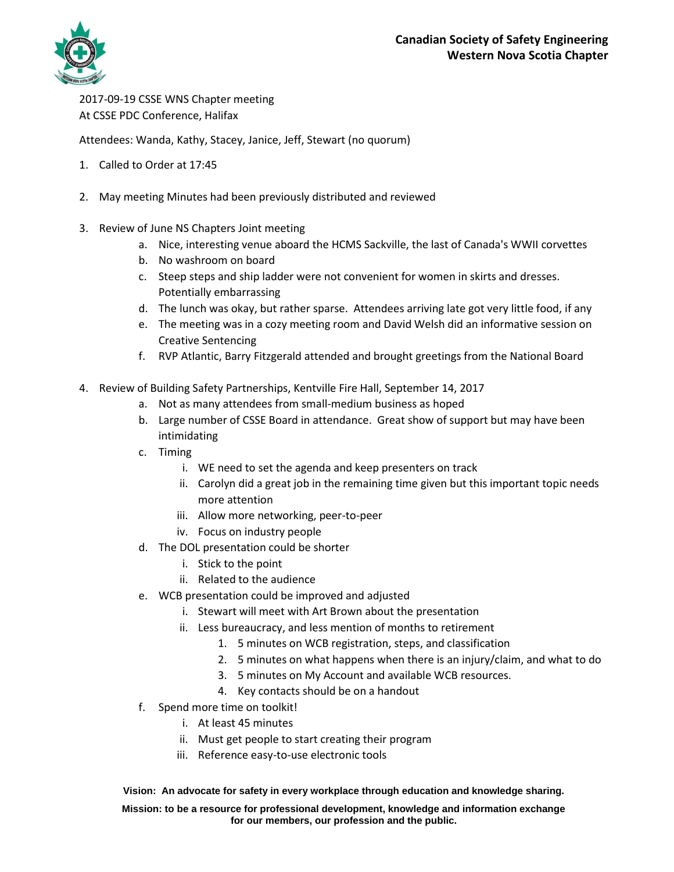

2017-09-19 CSSE WNS Chapter meeting At CSSE PDC Conference, Halifax

Attendees: Wanda, Kathy, Stacey, Janice, Jeff, Stewart (no quorum)

- 1. Called to Order at 17:45
- 2. May meeting Minutes had been previously distributed and reviewed
- 3. Review of June NS Chapters Joint meeting
	- a. Nice, interesting venue aboard the HCMS Sackville, the last of Canada's WWII corvettes
	- b. No washroom on board
	- c. Steep steps and ship ladder were not convenient for women in skirts and dresses. Potentially embarrassing
	- d. The lunch was okay, but rather sparse. Attendees arriving late got very little food, if any
	- e. The meeting was in a cozy meeting room and David Welsh did an informative session on Creative Sentencing
	- f. RVP Atlantic, Barry Fitzgerald attended and brought greetings from the National Board
- 4. Review of Building Safety Partnerships, Kentville Fire Hall, September 14, 2017
	- a. Not as many attendees from small-medium business as hoped
	- b. Large number of CSSE Board in attendance. Great show of support but may have been intimidating
	- c. Timing
		- i. WE need to set the agenda and keep presenters on track
		- ii. Carolyn did a great job in the remaining time given but this important topic needs more attention
		- iii. Allow more networking, peer-to-peer
		- iv. Focus on industry people
	- d. The DOL presentation could be shorter
		- i. Stick to the point
		- ii. Related to the audience
	- e. WCB presentation could be improved and adjusted
		- i. Stewart will meet with Art Brown about the presentation
		- ii. Less bureaucracy, and less mention of months to retirement
			- 1. 5 minutes on WCB registration, steps, and classification
			- 2. 5 minutes on what happens when there is an injury/claim, and what to do
			- 3. 5 minutes on My Account and available WCB resources.
			- 4. Key contacts should be on a handout
	- f. Spend more time on toolkit!
		- i. At least 45 minutes
		- ii. Must get people to start creating their program
		- iii. Reference easy-to-use electronic tools

## **Vision: An advocate for safety in every workplace through education and knowledge sharing.**

**Mission: to be a resource for professional development, knowledge and information exchange for our members, our profession and the public.**